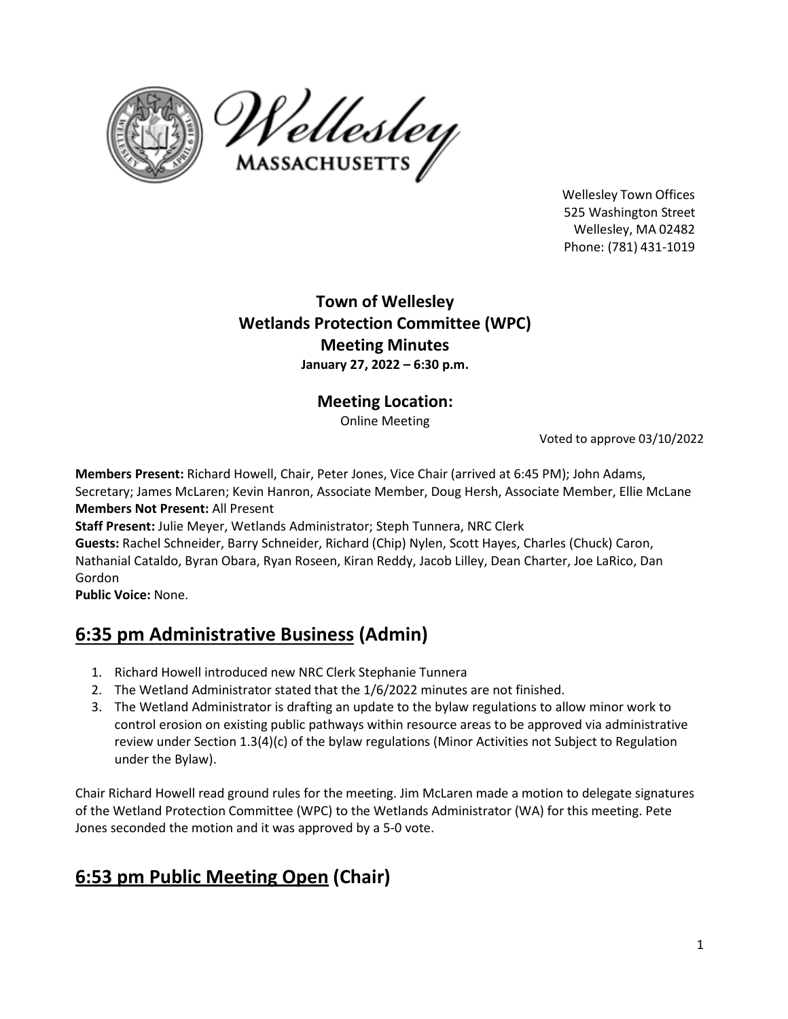



Wellesley Town Offices 525 Washington Street Wellesley, MA 02482 Phone: (781) 431‐1019

## **Town of Wellesley Wetlands Protection Committee (WPC) Meeting Minutes January 27, 2022 – 6:30 p.m.**

## **Meeting Location:**

Online Meeting

Voted to approve 03/10/2022

**Members Present:** Richard Howell, Chair, Peter Jones, Vice Chair (arrived at 6:45 PM); John Adams, Secretary; James McLaren; Kevin Hanron, Associate Member, Doug Hersh, Associate Member, Ellie McLane **Members Not Present:** All Present

**Staff Present:** Julie Meyer, Wetlands Administrator; Steph Tunnera, NRC Clerk **Guests:** Rachel Schneider, Barry Schneider, Richard (Chip) Nylen, Scott Hayes, Charles (Chuck) Caron, Nathanial Cataldo, Byran Obara, Ryan Roseen, Kiran Reddy, Jacob Lilley, Dean Charter, Joe LaRico, Dan Gordon

**Public Voice:** None.

# **6:35 pm Administrative Business (Admin)**

- 1. Richard Howell introduced new NRC Clerk Stephanie Tunnera
- 2. The Wetland Administrator stated that the 1/6/2022 minutes are not finished.
- 3. The Wetland Administrator is drafting an update to the bylaw regulations to allow minor work to control erosion on existing public pathways within resource areas to be approved via administrative review under Section 1.3(4)(c) of the bylaw regulations (Minor Activities not Subject to Regulation under the Bylaw).

Chair Richard Howell read ground rules for the meeting. Jim McLaren made a motion to delegate signatures of the Wetland Protection Committee (WPC) to the Wetlands Administrator (WA) for this meeting. Pete Jones seconded the motion and it was approved by a 5-0 vote.

## **6:53 pm Public Meeting Open (Chair)**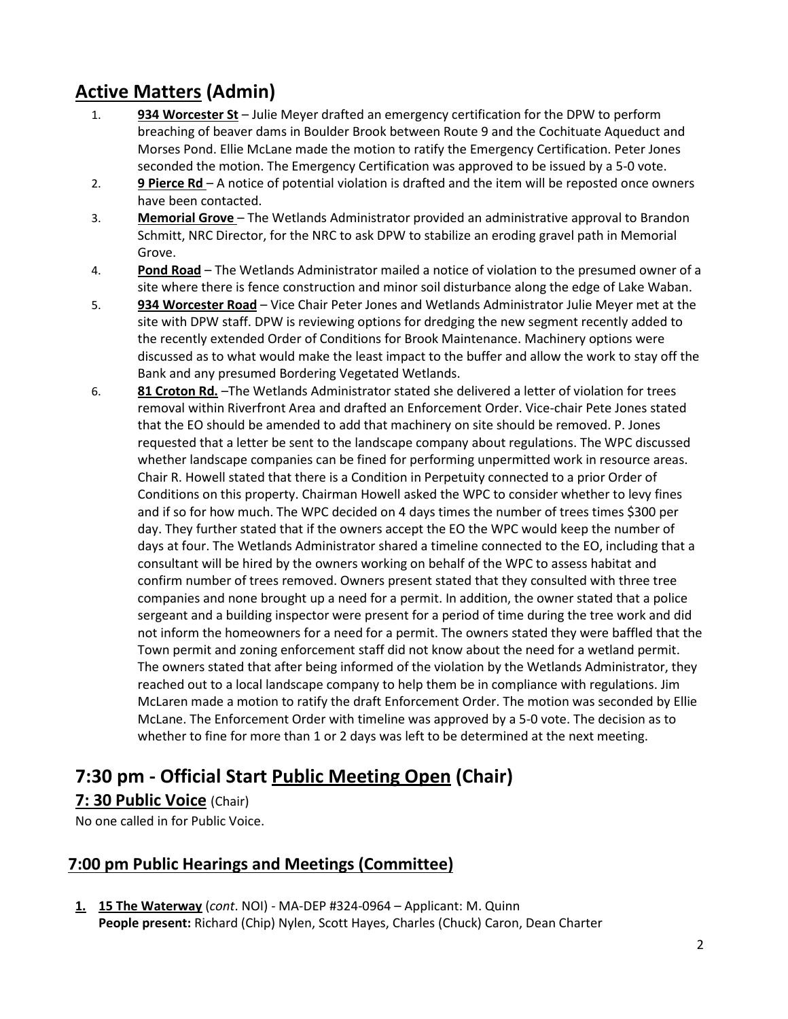# **Active Matters (Admin)**

- 1. **934 Worcester St** Julie Meyer drafted an emergency certification for the DPW to perform breaching of beaver dams in Boulder Brook between Route 9 and the Cochituate Aqueduct and Morses Pond. Ellie McLane made the motion to ratify the Emergency Certification. Peter Jones seconded the motion. The Emergency Certification was approved to be issued by a 5-0 vote.
- 2. **9 Pierce Rd**  A notice of potential violation is drafted and the item will be reposted once owners have been contacted.
- 3. **Memorial Grove** The Wetlands Administrator provided an administrative approval to Brandon Schmitt, NRC Director, for the NRC to ask DPW to stabilize an eroding gravel path in Memorial Grove.
- 4. **Pond Road** The Wetlands Administrator mailed a notice of violation to the presumed owner of a site where there is fence construction and minor soil disturbance along the edge of Lake Waban.
- 5. **934 Worcester Road** Vice Chair Peter Jones and Wetlands Administrator Julie Meyer met at the site with DPW staff. DPW is reviewing options for dredging the new segment recently added to the recently extended Order of Conditions for Brook Maintenance. Machinery options were discussed as to what would make the least impact to the buffer and allow the work to stay off the Bank and any presumed Bordering Vegetated Wetlands.
- 6. **81 Croton Rd.** –The Wetlands Administrator stated she delivered a letter of violation for trees removal within Riverfront Area and drafted an Enforcement Order. Vice-chair Pete Jones stated that the EO should be amended to add that machinery on site should be removed. P. Jones requested that a letter be sent to the landscape company about regulations. The WPC discussed whether landscape companies can be fined for performing unpermitted work in resource areas. Chair R. Howell stated that there is a Condition in Perpetuity connected to a prior Order of Conditions on this property. Chairman Howell asked the WPC to consider whether to levy fines and if so for how much. The WPC decided on 4 days times the number of trees times \$300 per day. They further stated that if the owners accept the EO the WPC would keep the number of days at four. The Wetlands Administrator shared a timeline connected to the EO, including that a consultant will be hired by the owners working on behalf of the WPC to assess habitat and confirm number of trees removed. Owners present stated that they consulted with three tree companies and none brought up a need for a permit. In addition, the owner stated that a police sergeant and a building inspector were present for a period of time during the tree work and did not inform the homeowners for a need for a permit. The owners stated they were baffled that the Town permit and zoning enforcement staff did not know about the need for a wetland permit. The owners stated that after being informed of the violation by the Wetlands Administrator, they reached out to a local landscape company to help them be in compliance with regulations. Jim McLaren made a motion to ratify the draft Enforcement Order. The motion was seconded by Ellie McLane. The Enforcement Order with timeline was approved by a 5-0 vote. The decision as to whether to fine for more than 1 or 2 days was left to be determined at the next meeting.

## **7:30 pm ‐ Official Start Public Meeting Open (Chair)**

### **7: 30 Public Voice** (Chair)

No one called in for Public Voice.

### **7:00 pm Public Hearings and Meetings (Committee)**

**1. 15 The Waterway** (*cont*. NOI) - MA-DEP #324-0964 – Applicant: M. Quinn **People present:** Richard (Chip) Nylen, Scott Hayes, Charles (Chuck) Caron, Dean Charter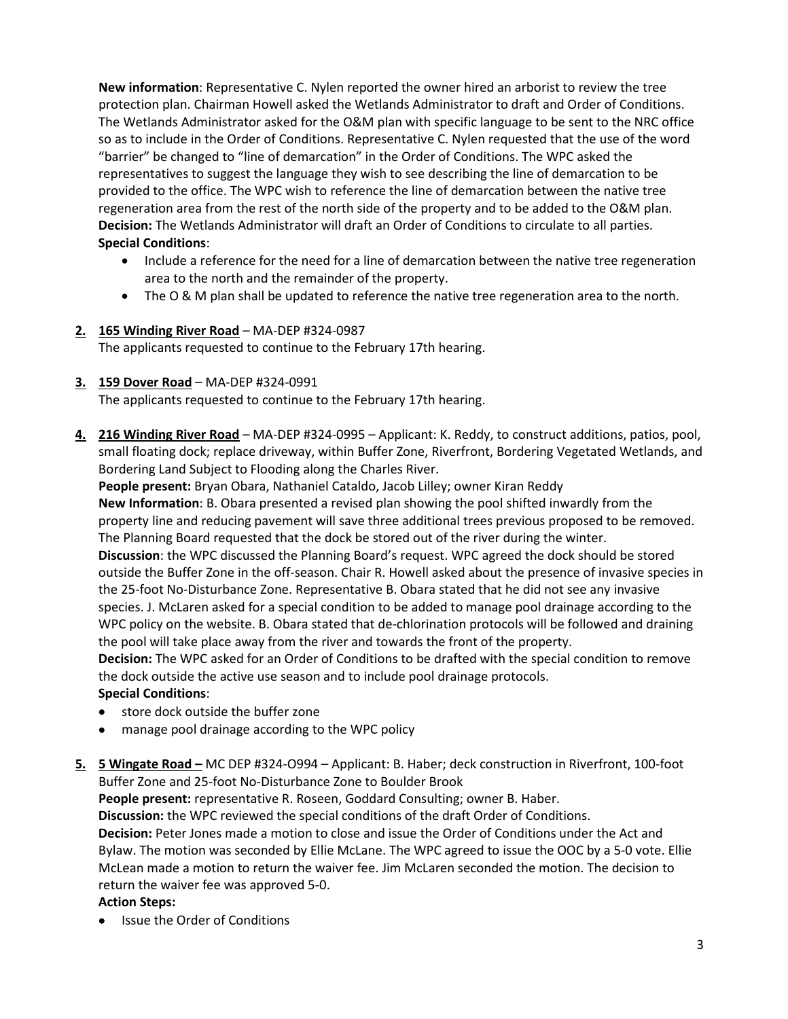**New information**: Representative C. Nylen reported the owner hired an arborist to review the tree protection plan. Chairman Howell asked the Wetlands Administrator to draft and Order of Conditions. The Wetlands Administrator asked for the O&M plan with specific language to be sent to the NRC office so as to include in the Order of Conditions. Representative C. Nylen requested that the use of the word "barrier" be changed to "line of demarcation" in the Order of Conditions. The WPC asked the representatives to suggest the language they wish to see describing the line of demarcation to be provided to the office. The WPC wish to reference the line of demarcation between the native tree regeneration area from the rest of the north side of the property and to be added to the O&M plan. **Decision:** The Wetlands Administrator will draft an Order of Conditions to circulate to all parties. **Special Conditions**:

- Include a reference for the need for a line of demarcation between the native tree regeneration area to the north and the remainder of the property.
- The O & M plan shall be updated to reference the native tree regeneration area to the north.

#### **2. 165 Winding River Road** – MA-DEP #324-0987

The applicants requested to continue to the February 17th hearing.

#### **3. 159 Dover Road** – MA-DEP #324-0991

The applicants requested to continue to the February 17th hearing.

**4. 216 Winding River Road** – MA-DEP #324-0995 – Applicant: K. Reddy, to construct additions, patios, pool, small floating dock; replace driveway, within Buffer Zone, Riverfront, Bordering Vegetated Wetlands, and Bordering Land Subject to Flooding along the Charles River.

**People present:** Bryan Obara, Nathaniel Cataldo, Jacob Lilley; owner Kiran Reddy **New Information**: B. Obara presented a revised plan showing the pool shifted inwardly from the property line and reducing pavement will save three additional trees previous proposed to be removed. The Planning Board requested that the dock be stored out of the river during the winter. **Discussion**: the WPC discussed the Planning Board's request. WPC agreed the dock should be stored outside the Buffer Zone in the off-season. Chair R. Howell asked about the presence of invasive species in the 25-foot No-Disturbance Zone. Representative B. Obara stated that he did not see any invasive species. J. McLaren asked for a special condition to be added to manage pool drainage according to the WPC policy on the website. B. Obara stated that de-chlorination protocols will be followed and draining the pool will take place away from the river and towards the front of the property. **Decision:** The WPC asked for an Order of Conditions to be drafted with the special condition to remove

the dock outside the active use season and to include pool drainage protocols. **Special Conditions**:

- store dock outside the buffer zone
- manage pool drainage according to the WPC policy
- **5. 5 Wingate Road –** MC DEP #324-O994 Applicant: B. Haber; deck construction in Riverfront, 100-foot Buffer Zone and 25-foot No-Disturbance Zone to Boulder Brook

**People present:** representative R. Roseen, Goddard Consulting; owner B. Haber.

**Discussion:** the WPC reviewed the special conditions of the draft Order of Conditions.

**Decision:** Peter Jones made a motion to close and issue the Order of Conditions under the Act and Bylaw. The motion was seconded by Ellie McLane. The WPC agreed to issue the OOC by a 5-0 vote. Ellie McLean made a motion to return the waiver fee. Jim McLaren seconded the motion. The decision to return the waiver fee was approved 5-0.

#### **Action Steps:**

Issue the Order of Conditions